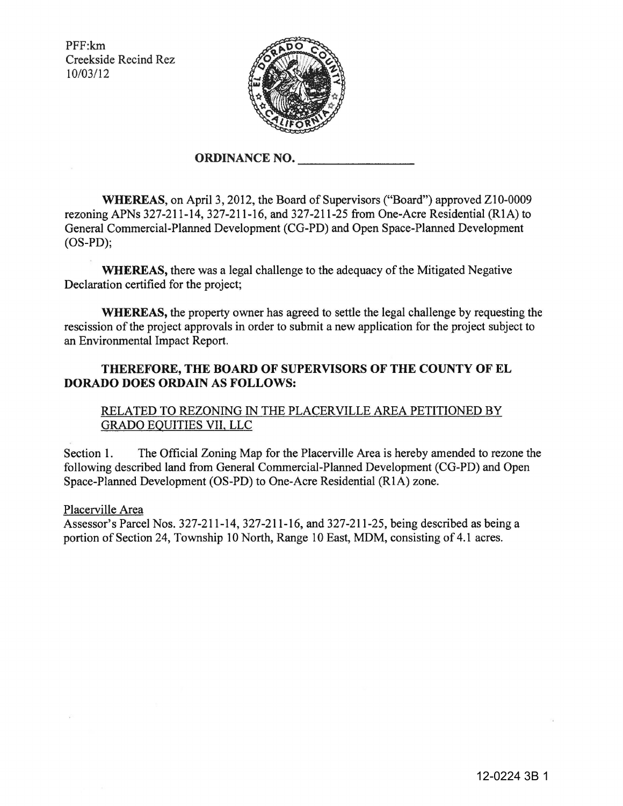PFF:km Creekside Recind Rez 10/03/12



## **ORDINANCE NO.**

**WHEREAS,** on April3, 20I2, the Board of Supervisors ("Board") approved ZI0-0009 rezoning APNs 327-2II-I4, 327-2II-I6, and 327-2II-25 from One-Acre Residential (RIA) to General Commercial-Planned Development (CG-PD) and Open Space-Planned Development (OS-PD);

**WHEREAS,** there was a legal challenge to the adequacy of the Mitigated Negative Declaration certified for the project;

**WHEREAS,** the property owner has agreed to settle the legal challenge by requesting the rescission of the project approvals in order to submit a new application for the project subject to an Environmental Impact Report.

## **THEREFORE, THE BOARD OF SUPERVISORS OF THE COUNTY OF EL DORADO DOES ORDAIN AS FOLLOWS:**

## RELATED TO REZONING IN THE PLACERVILLE AREA PETITIONED BY GRADO EQUITIES VII, LLC

Section I. The Official Zoning Map for the Placerville Area is hereby amended to rezone the following described land from General Commercial-Planned Development (CG-PD) and Open Space-Planned Development (OS-PD) to One-Acre Residential (RIA) zone.

Placerville Area

Assessor's Parcel Nos. 327-2II-I4, 327-2II-I6, and 327-2II-25, being described as being a portion of Section 24, Township 10 North, Range 10 East, MDM, consisting of 4.1 acres.